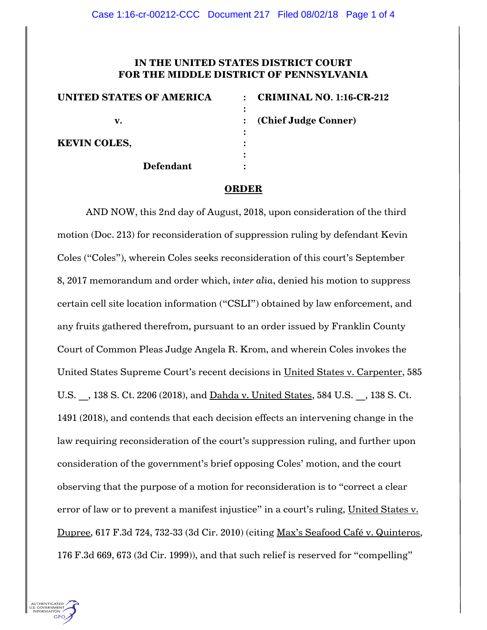## **IN THE UNITED STATES DISTRICT COURT FOR THE MIDDLE DISTRICT OF PENNSYLVANIA**

| <b>UNITED STATES OF AMERICA</b> | <b>CRIMINAL NO. 1:16-CR-212</b><br>$\bullet$ |
|---------------------------------|----------------------------------------------|
|                                 |                                              |
| v.                              | (Chief Judge Conner)                         |
|                                 |                                              |
| <b>KEVIN COLES,</b>             |                                              |
|                                 |                                              |
| <b>Defendant</b>                |                                              |

## **ORDER**

AND NOW, this 2nd day of August, 2018, upon consideration of the third motion (Doc. 213) for reconsideration of suppression ruling by defendant Kevin Coles ("Coles"), wherein Coles seeks reconsideration of this court's September 8, 2017 memorandum and order which, *inter alia*, denied his motion to suppress certain cell site location information ("CSLI") obtained by law enforcement, and any fruits gathered therefrom, pursuant to an order issued by Franklin County Court of Common Pleas Judge Angela R. Krom, and wherein Coles invokes the United States Supreme Court"s recent decisions in United States v. Carpenter, 585 U.S.  $\,$ , 138 S. Ct. 2206 (2018), and <u>Dahda v. United States</u>, 584 U.S.  $\,$  , 138 S. Ct. 1491 (2018), and contends that each decision effects an intervening change in the law requiring reconsideration of the court's suppression ruling, and further upon consideration of the government"s brief opposing Coles" motion, and the court observing that the purpose of a motion for reconsideration is to "correct a clear error of law or to prevent a manifest injustice" in a court's ruling, United States v. Dupree, 617 F.3d 724, 732-33 (3d Cir. 2010) (citing Max"s Seafood Café v. Quinteros, 176 F.3d 669, 673 (3d Cir. 1999)), and that such relief is reserved for "compelling"

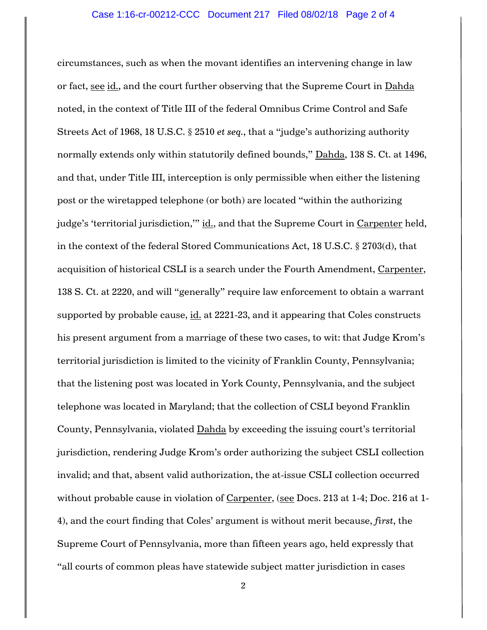circumstances, such as when the movant identifies an intervening change in law or fact, see id., and the court further observing that the Supreme Court in Dahda noted, in the context of Title III of the federal Omnibus Crime Control and Safe Streets Act of 1968, 18 U.S.C. § 2510 *et seq.*, that a "judge"s authorizing authority normally extends only within statutorily defined bounds," Dahda, 138 S. Ct. at 1496, and that, under Title III, interception is only permissible when either the listening post or the wiretapped telephone (or both) are located "within the authorizing judge's 'territorial jurisdiction," id., and that the Supreme Court in Carpenter held, in the context of the federal Stored Communications Act, 18 U.S.C. § 2703(d), that acquisition of historical CSLI is a search under the Fourth Amendment, Carpenter, 138 S. Ct. at 2220, and will "generally" require law enforcement to obtain a warrant supported by probable cause, id. at 2221-23, and it appearing that Coles constructs his present argument from a marriage of these two cases, to wit: that Judge Krom"s territorial jurisdiction is limited to the vicinity of Franklin County, Pennsylvania; that the listening post was located in York County, Pennsylvania, and the subject telephone was located in Maryland; that the collection of CSLI beyond Franklin County, Pennsylvania, violated Dahda by exceeding the issuing court's territorial jurisdiction, rendering Judge Krom"s order authorizing the subject CSLI collection invalid; and that, absent valid authorization, the at-issue CSLI collection occurred without probable cause in violation of Carpenter, (see Docs. 213 at 1-4; Doc. 216 at 1-4), and the court finding that Coles" argument is without merit because, *first*, the Supreme Court of Pennsylvania, more than fifteen years ago, held expressly that "all courts of common pleas have statewide subject matter jurisdiction in cases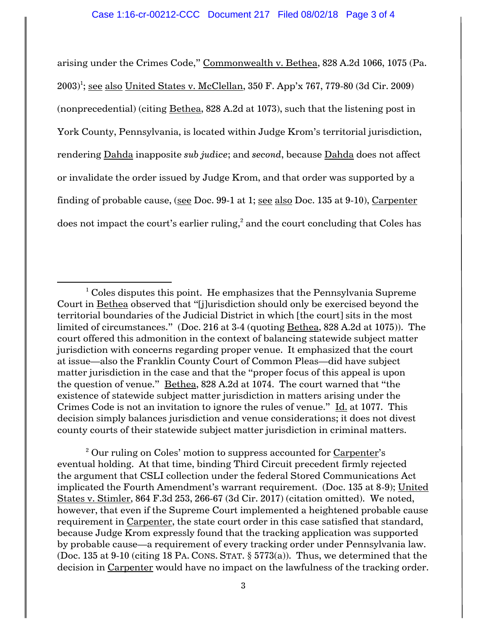arising under the Crimes Code," Commonwealth v. Bethea, 828 A.2d 1066, 1075 (Pa. 2003)<sup>1</sup>; <u>see also United States v. McClellan</u>, 350 F. App'x 767, 779-80 (3d Cir. 2009) (nonprecedential) (citing Bethea, 828 A.2d at 1073), such that the listening post in York County, Pennsylvania, is located within Judge Krom"s territorial jurisdiction, rendering Dahda inapposite *sub judice*; and *second*, because Dahda does not affect or invalidate the order issued by Judge Krom, and that order was supported by a finding of probable cause, (see Doc. 99-1 at 1; see also Doc. 135 at 9-10), Carpenter does not impact the court's earlier ruling, $^2$  and the court concluding that Coles has

 $\overline{a}$ 

<sup>2</sup> Our ruling on Coles' motion to suppress accounted for Carpenter's eventual holding. At that time, binding Third Circuit precedent firmly rejected the argument that CSLI collection under the federal Stored Communications Act implicated the Fourth Amendment"s warrant requirement. (Doc. 135 at 8-9); United States v. Stimler, 864 F.3d 253, 266-67 (3d Cir. 2017) (citation omitted). We noted, however, that even if the Supreme Court implemented a heightened probable cause requirement in Carpenter, the state court order in this case satisfied that standard, because Judge Krom expressly found that the tracking application was supported by probable cause—a requirement of every tracking order under Pennsylvania law. (Doc. 135 at 9-10 (citing 18 PA. CONS. STAT. § 5773(a)). Thus, we determined that the decision in Carpenter would have no impact on the lawfulness of the tracking order.

 $1$  Coles disputes this point. He emphasizes that the Pennsylvania Supreme Court in Bethea observed that "[j]urisdiction should only be exercised beyond the territorial boundaries of the Judicial District in which [the court] sits in the most limited of circumstances." (Doc. 216 at 3-4 (quoting Bethea, 828 A.2d at 1075)). The court offered this admonition in the context of balancing statewide subject matter jurisdiction with concerns regarding proper venue. It emphasized that the court at issue—also the Franklin County Court of Common Pleas—did have subject matter jurisdiction in the case and that the "proper focus of this appeal is upon the question of venue." Bethea, 828 A.2d at 1074. The court warned that "the existence of statewide subject matter jurisdiction in matters arising under the Crimes Code is not an invitation to ignore the rules of venue." Id. at 1077. This decision simply balances jurisdiction and venue considerations; it does not divest county courts of their statewide subject matter jurisdiction in criminal matters.